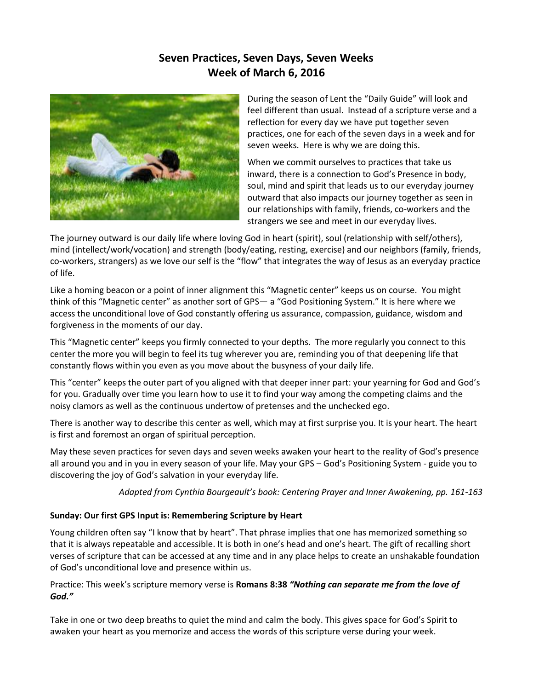# **Seven Practices, Seven Days, Seven Weeks Week of March 6, 2016**



During the season of Lent the "Daily Guide" will look and feel different than usual. Instead of a scripture verse and a reflection for every day we have put together seven practices, one for each of the seven days in a week and for seven weeks. Here is why we are doing this.

When we commit ourselves to practices that take us inward, there is a connection to God's Presence in body, soul, mind and spirit that leads us to our everyday journey outward that also impacts our journey together as seen in our relationships with family, friends, co-workers and the strangers we see and meet in our everyday lives.

The journey outward is our daily life where loving God in heart (spirit), soul (relationship with self/others), mind (intellect/work/vocation) and strength (body/eating, resting, exercise) and our neighbors (family, friends, co-workers, strangers) as we love our self is the "flow" that integrates the way of Jesus as an everyday practice of life.

Like a homing beacon or a point of inner alignment this "Magnetic center" keeps us on course. You might think of this "Magnetic center" as another sort of GPS— a "God Positioning System." It is here where we access the unconditional love of God constantly offering us assurance, compassion, guidance, wisdom and forgiveness in the moments of our day.

This "Magnetic center" keeps you firmly connected to your depths. The more regularly you connect to this center the more you will begin to feel its tug wherever you are, reminding you of that deepening life that constantly flows within you even as you move about the busyness of your daily life.

This "center" keeps the outer part of you aligned with that deeper inner part: your yearning for God and God's for you. Gradually over time you learn how to use it to find your way among the competing claims and the noisy clamors as well as the continuous undertow of pretenses and the unchecked ego.

There is another way to describe this center as well, which may at first surprise you. It is your heart. The heart is first and foremost an organ of spiritual perception.

May these seven practices for seven days and seven weeks awaken your heart to the reality of God's presence all around you and in you in every season of your life. May your GPS – God's Positioning System - guide you to discovering the joy of God's salvation in your everyday life.

*Adapted from Cynthia Bourgeault's book: Centering Prayer and Inner Awakening, pp. 161-163*

## **Sunday: Our first GPS Input is: Remembering Scripture by Heart**

Young children often say "I know that by heart". That phrase implies that one has memorized something so that it is always repeatable and accessible. It is both in one's head and one's heart. The gift of recalling short verses of scripture that can be accessed at any time and in any place helps to create an unshakable foundation of God's unconditional love and presence within us.

Practice: This week's scripture memory verse is **Romans 8:38** *"Nothing can separate me from the love of God."*

Take in one or two deep breaths to quiet the mind and calm the body. This gives space for God's Spirit to awaken your heart as you memorize and access the words of this scripture verse during your week.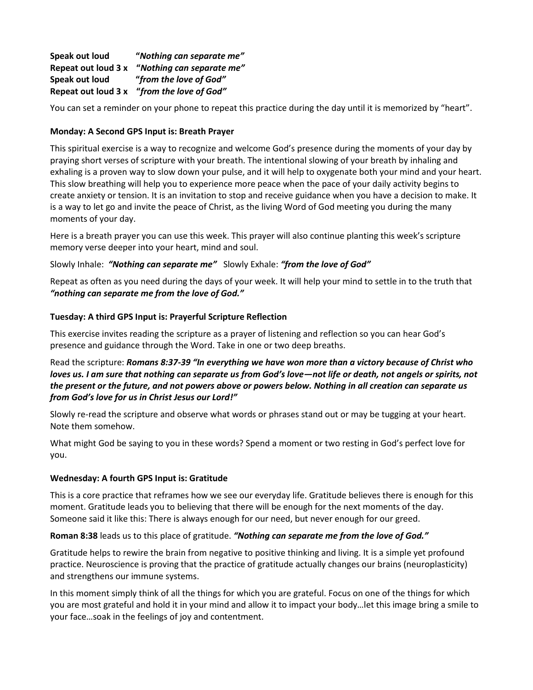| Speak out loud<br><b>Repeat out loud 3 x</b><br>Speak out loud | "Nothing can separate me"<br>"Nothing can separate me"<br>"from the love of God" |                            |                        |
|----------------------------------------------------------------|----------------------------------------------------------------------------------|----------------------------|------------------------|
|                                                                |                                                                                  | <b>Repeat out loud 3 x</b> | "from the love of God" |

You can set a reminder on your phone to repeat this practice during the day until it is memorized by "heart".

## **Monday: A Second GPS Input is: Breath Prayer**

This spiritual exercise is a way to recognize and welcome God's presence during the moments of your day by praying short verses of scripture with your breath. The intentional slowing of your breath by inhaling and exhaling is a proven way to slow down your pulse, and it will help to oxygenate both your mind and your heart. This slow breathing will help you to experience more peace when the pace of your daily activity begins to create anxiety or tension. It is an invitation to stop and receive guidance when you have a decision to make. It is a way to let go and invite the peace of Christ, as the living Word of God meeting you during the many moments of your day.

Here is a breath prayer you can use this week. This prayer will also continue planting this week's scripture memory verse deeper into your heart, mind and soul.

## Slowly Inhale: *"Nothing can separate me"* Slowly Exhale: *"from the love of God"*

Repeat as often as you need during the days of your week. It will help your mind to settle in to the truth that *"nothing can separate me from the love of God."*

## **Tuesday: A third GPS Input is: Prayerful Scripture Reflection**

This exercise invites reading the scripture as a prayer of listening and reflection so you can hear God's presence and guidance through the Word. Take in one or two deep breaths.

Read the scripture: *Romans 8:37-39 "In everything we have won more than a victory because of Christ who loves us. I am sure that nothing can separate us from God's love—not life or death, not angels or spirits, not the present or the future, and not powers above or powers below. Nothing in all creation can separate us from God's love for us in Christ Jesus our Lord!"*

Slowly re-read the scripture and observe what words or phrases stand out or may be tugging at your heart. Note them somehow.

What might God be saying to you in these words? Spend a moment or two resting in God's perfect love for you.

#### **Wednesday: A fourth GPS Input is: Gratitude**

This is a core practice that reframes how we see our everyday life. Gratitude believes there is enough for this moment. Gratitude leads you to believing that there will be enough for the next moments of the day. Someone said it like this: There is always enough for our need, but never enough for our greed.

**Roman 8:38** leads us to this place of gratitude. *"Nothing can separate me from the love of God."*

Gratitude helps to rewire the brain from negative to positive thinking and living. It is a simple yet profound practice. Neuroscience is proving that the practice of gratitude actually changes our brains (neuroplasticity) and strengthens our immune systems.

In this moment simply think of all the things for which you are grateful. Focus on one of the things for which you are most grateful and hold it in your mind and allow it to impact your body…let this image bring a smile to your face…soak in the feelings of joy and contentment.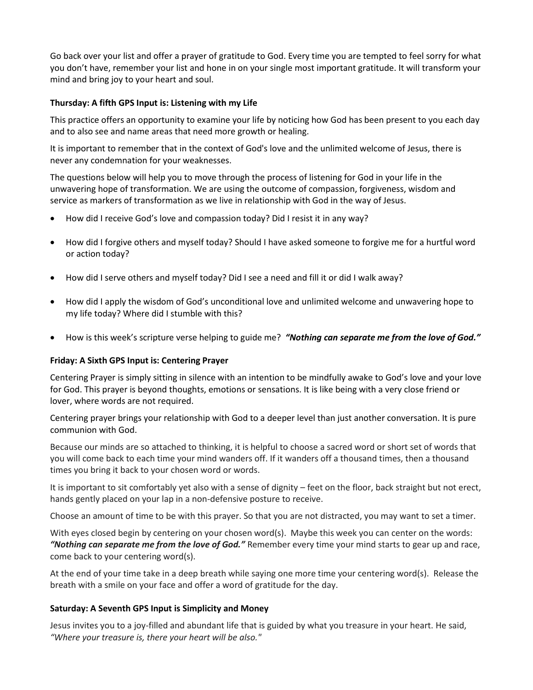Go back over your list and offer a prayer of gratitude to God. Every time you are tempted to feel sorry for what you don't have, remember your list and hone in on your single most important gratitude. It will transform your mind and bring joy to your heart and soul.

## **Thursday: A fifth GPS Input is: Listening with my Life**

This practice offers an opportunity to examine your life by noticing how God has been present to you each day and to also see and name areas that need more growth or healing.

It is important to remember that in the context of God's love and the unlimited welcome of Jesus, there is never any condemnation for your weaknesses.

The questions below will help you to move through the process of listening for God in your life in the unwavering hope of transformation. We are using the outcome of compassion, forgiveness, wisdom and service as markers of transformation as we live in relationship with God in the way of Jesus.

- How did I receive God's love and compassion today? Did I resist it in any way?
- How did I forgive others and myself today? Should I have asked someone to forgive me for a hurtful word or action today?
- How did I serve others and myself today? Did I see a need and fill it or did I walk away?
- How did I apply the wisdom of God's unconditional love and unlimited welcome and unwavering hope to my life today? Where did I stumble with this?
- How is this week's scripture verse helping to guide me? *"Nothing can separate me from the love of God."*

#### **Friday: A Sixth GPS Input is: Centering Prayer**

Centering Prayer is simply sitting in silence with an intention to be mindfully awake to God's love and your love for God. This prayer is beyond thoughts, emotions or sensations. It is like being with a very close friend or lover, where words are not required.

Centering prayer brings your relationship with God to a deeper level than just another conversation. It is pure communion with God.

Because our minds are so attached to thinking, it is helpful to choose a sacred word or short set of words that you will come back to each time your mind wanders off. If it wanders off a thousand times, then a thousand times you bring it back to your chosen word or words.

It is important to sit comfortably yet also with a sense of dignity – feet on the floor, back straight but not erect, hands gently placed on your lap in a non-defensive posture to receive.

Choose an amount of time to be with this prayer. So that you are not distracted, you may want to set a timer.

With eyes closed begin by centering on your chosen word(s). Maybe this week you can center on the words: *"Nothing can separate me from the love of God."* Remember every time your mind starts to gear up and race, come back to your centering word(s).

At the end of your time take in a deep breath while saying one more time your centering word(s). Release the breath with a smile on your face and offer a word of gratitude for the day.

#### **Saturday: A Seventh GPS Input is Simplicity and Money**

Jesus invites you to a joy-filled and abundant life that is guided by what you treasure in your heart. He said, *"Where your treasure is, there your heart will be also."*